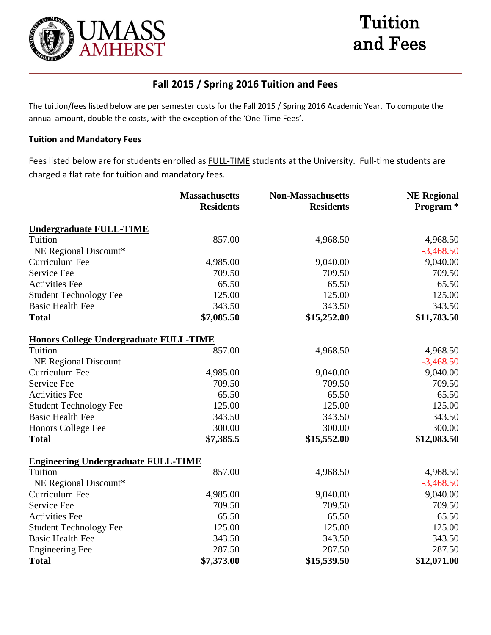



# **Fall 2015 / Spring 2016 Tuition and Fees**

The tuition/fees listed below are per semester costs for the Fall 2015 / Spring 2016 Academic Year. To compute the annual amount, double the costs, with the exception of the 'One-Time Fees'.

## **Tuition and Mandatory Fees**

Fees listed below are for students enrolled as FULL-TIME students at the University. Full-time students are charged a flat rate for tuition and mandatory fees.

|                                               | <b>Massachusetts</b> | <b>Non-Massachusetts</b> | <b>NE Regional</b>   |  |
|-----------------------------------------------|----------------------|--------------------------|----------------------|--|
|                                               | <b>Residents</b>     | <b>Residents</b>         | Program <sup>*</sup> |  |
| <b>Undergraduate FULL-TIME</b>                |                      |                          |                      |  |
| Tuition                                       | 857.00               | 4,968.50                 | 4,968.50             |  |
| NE Regional Discount*                         |                      |                          | $-3,468.50$          |  |
| Curriculum Fee                                | 4,985.00             | 9,040.00                 | 9,040.00             |  |
| Service Fee                                   | 709.50               | 709.50                   | 709.50               |  |
| <b>Activities Fee</b>                         | 65.50                | 65.50                    | 65.50                |  |
| <b>Student Technology Fee</b>                 | 125.00               | 125.00                   | 125.00               |  |
| <b>Basic Health Fee</b>                       | 343.50               | 343.50                   | 343.50               |  |
| <b>Total</b>                                  | \$7,085.50           | \$15,252.00              | \$11,783.50          |  |
| <b>Honors College Undergraduate FULL-TIME</b> |                      |                          |                      |  |
| Tuition                                       | 857.00               | 4,968.50                 | 4,968.50             |  |
| <b>NE Regional Discount</b>                   |                      |                          | $-3,468.50$          |  |
| Curriculum Fee                                | 4,985.00             | 9,040.00                 | 9,040.00             |  |
| Service Fee                                   | 709.50               | 709.50                   | 709.50               |  |
| <b>Activities Fee</b>                         | 65.50                | 65.50                    | 65.50                |  |
| <b>Student Technology Fee</b>                 | 125.00               | 125.00                   | 125.00               |  |
| <b>Basic Health Fee</b>                       | 343.50               | 343.50                   | 343.50               |  |
| Honors College Fee                            | 300.00               | 300.00                   | 300.00               |  |
| <b>Total</b>                                  | \$7,385.5            | \$15,552.00              | \$12,083.50          |  |
| <b>Engineering Undergraduate FULL-TIME</b>    |                      |                          |                      |  |
| Tuition                                       | 857.00               | 4,968.50                 | 4,968.50             |  |
| NE Regional Discount*                         |                      |                          | $-3,468.50$          |  |
| Curriculum Fee                                | 4,985.00             | 9,040.00                 | 9,040.00             |  |
| Service Fee                                   | 709.50               | 709.50                   | 709.50               |  |
| <b>Activities Fee</b>                         | 65.50                | 65.50                    | 65.50                |  |
| <b>Student Technology Fee</b>                 | 125.00               | 125.00                   | 125.00               |  |
| <b>Basic Health Fee</b>                       | 343.50               | 343.50                   | 343.50               |  |
| <b>Engineering Fee</b>                        | 287.50               | 287.50                   | 287.50               |  |
| <b>Total</b>                                  | \$7,373.00           | \$15,539.50              | \$12,071.00          |  |